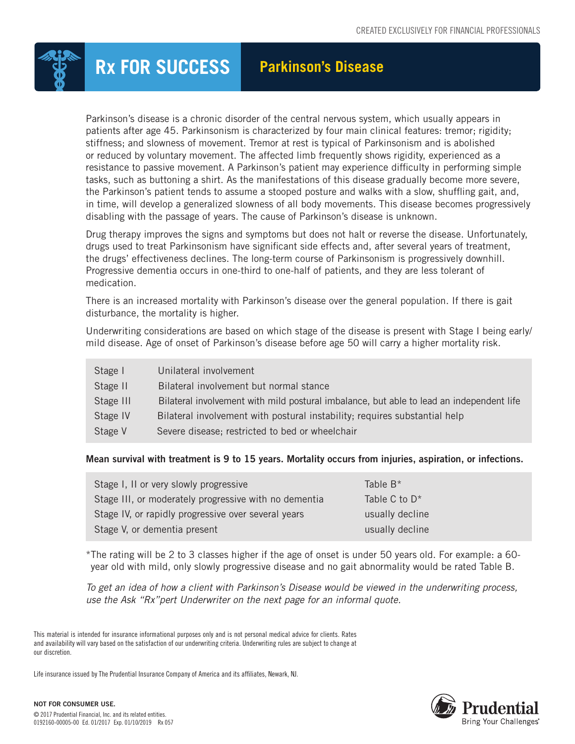

## **Rx FOR SUCCESS Parkinson's Disease**

Parkinson's disease is a chronic disorder of the central nervous system, which usually appears in patients after age 45. Parkinsonism is characterized by four main clinical features: tremor; rigidity; stiffness; and slowness of movement. Tremor at rest is typical of Parkinsonism and is abolished or reduced by voluntary movement. The affected limb frequently shows rigidity, experienced as a resistance to passive movement. A Parkinson's patient may experience difficulty in performing simple tasks, such as buttoning a shirt. As the manifestations of this disease gradually become more severe, the Parkinson's patient tends to assume a stooped posture and walks with a slow, shuffling gait, and, in time, will develop a generalized slowness of all body movements. This disease becomes progressively disabling with the passage of years. The cause of Parkinson's disease is unknown.

Drug therapy improves the signs and symptoms but does not halt or reverse the disease. Unfortunately, drugs used to treat Parkinsonism have significant side effects and, after several years of treatment, the drugs' effectiveness declines. The long-term course of Parkinsonism is progressively downhill. Progressive dementia occurs in one-third to one-half of patients, and they are less tolerant of medication.

There is an increased mortality with Parkinson's disease over the general population. If there is gait disturbance, the mortality is higher.

Underwriting considerations are based on which stage of the disease is present with Stage I being early/ mild disease. Age of onset of Parkinson's disease before age 50 will carry a higher mortality risk.

| Stage I   | Unilateral involvement                                                                   |
|-----------|------------------------------------------------------------------------------------------|
| Stage II  | Bilateral involvement but normal stance                                                  |
| Stage III | Bilateral involvement with mild postural imbalance, but able to lead an independent life |
| Stage IV  | Bilateral involvement with postural instability; requires substantial help               |
| Stage V   | Severe disease; restricted to bed or wheelchair                                          |

## Mean survival with treatment is 9 to 15 years. Mortality occurs from injuries, aspiration, or infections.

| Stage I, II or very slowly progressive                | Table $B^*$               |
|-------------------------------------------------------|---------------------------|
| Stage III, or moderately progressive with no dementia | Table C to D <sup>*</sup> |
| Stage IV, or rapidly progressive over several years   | usually decline           |
| Stage V, or dementia present                          | usually decline           |

\*The rating will be 2 to 3 classes higher if the age of onset is under 50 years old. For example: a 60 year old with mild, only slowly progressive disease and no gait abnormality would be rated Table B.

*To get an idea of how a client with Parkinson's Disease would be viewed in the underwriting process, use the Ask "Rx"pert Underwriter on the next page for an informal quote.*

Life insurance issued by The Prudential Insurance Company of America and its affiliates, Newark, NJ.



This material is intended for insurance informational purposes only and is not personal medical advice for clients. Rates and availability will vary based on the satisfaction of our underwriting criteria. Underwriting rules are subject to change at our discretion.